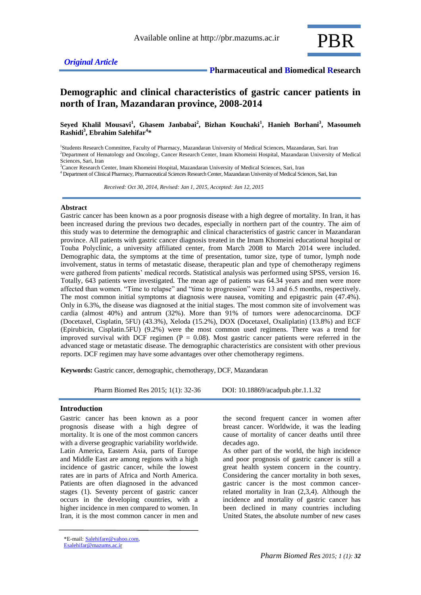

# **Demographic and clinical characteristics of gastric cancer patients in north of Iran, Mazandaran province, 2008-2014**

**Seyed Khalil Mousavi<sup>1</sup> , Ghasem Janbabai<sup>2</sup> , Bizhan Kouchaki<sup>1</sup> , Hanieh Borhani<sup>3</sup> , Masoumeh Rashidi<sup>3</sup> , Ebrahim Salehifar<sup>4</sup> \***

1 Students Research Committee, Faculty of Pharmacy, Mazandaran University of Medical Sciences, Mazandaran, Sari. Iran <sup>2</sup>Department of Hematology and Oncology, Cancer Research Center, Imam Khomeini Hospital, Mazandaran University of Medical Sciences, Sari, Iran

<sup>3</sup>Cancer Research Center, Imam Khomeini Hospital, Mazandaran University of Medical Sciences, Sari, Iran

<sup>4</sup> Department of Clinical Pharmacy, Pharmaceutical Sciences Research Center, Mazandaran University of Medical Sciences, Sari, Iran

 *Received: Oct 30, 2014, Revised: Jan 1, 2015, Accepted: Jan 12, 2015*

#### **Abstract**

Gastric cancer has been known as a poor prognosis disease with a high degree of mortality. In Iran, it has been increased during the previous two decades, especially in northern part of the country. The aim of this study was to determine the demographic and clinical characteristics of gastric cancer in Mazandaran province. All patients with gastric cancer diagnosis treated in the Imam Khomeini educational hospital or Touba Polyclinic, a university affiliated center, from March 2008 to March 2014 were included. Demographic data, the symptoms at the time of presentation, tumor size, type of tumor, lymph node involvement, status in terms of metastatic disease, therapeutic plan and type of chemotherapy regimens were gathered from patients' medical records. Statistical analysis was performed using SPSS, version 16. Totally, 643 patients were investigated. The mean age of patients was 64.34 years and men were more affected than women. "Time to relapse" and "time to progression" were 13 and 6.5 months, respectively. The most common initial symptoms at diagnosis were nausea, vomiting and epigastric pain (47.4%). Only in 6.3%, the disease was diagnosed at the initial stages. The most common site of involvement was cardia (almost 40%) and antrum (32%). More than 91% of tumors were adenocarcinoma. DCF (Docetaxel, Cisplatin, 5FU) (43.3%), Xeloda (15.2%), DOX (Docetaxel, Oxaliplatin) (13.8%) and ECF (Epirubicin, Cisplatin.5FU) (9.2%) were the most common used regimens. There was a trend for improved survival with DCF regimen ( $P = 0.08$ ). Most gastric cancer patients were referred in the advanced stage or metastatic disease. The demographic characteristics are consistent with other previous reports. DCF regimen may have some advantages over other chemotherapy regimens.

**Keywords:** Gastric cancer, demographic, chemotherapy, DCF, Mazandaran

Pharm Biomed Res 2015; 1(1): 32-36 DOI: 10.18869/acadpub.pbr.1.1.32

# **Introduction**

Gastric cancer has been known as a poor prognosis disease with a high degree of mortality. It is one of the most common cancers with a diverse geographic variability worldwide. Latin America, Eastern Asia, parts of Europe and Middle East are among regions with a high incidence of gastric cancer, while the lowest rates are in parts of Africa and North America. Patients are often diagnosed in the advanced stages (1). Seventy percent of gastric cancer occurs in the developing countries, with a higher incidence in men compared to women. In Iran, it is the most common cancer in men and

the second frequent cancer in women after breast cancer. Worldwide, it was the leading cause of mortality of cancer deaths until three decades ago.

As other part of the world, the high incidence and poor prognosis of gastric cancer is still a great health system concern in the country. Considering the cancer mortality in both sexes, gastric cancer is the most common cancerrelated mortality in Iran (2,3,4). Although the incidence and mortality of gastric cancer has been declined in many countries including United States, the absolute number of new cases

<sup>\*</sup>E-mail: [Salehifare@yahoo.com,](mailto:Salehifare@yahoo.com) 

Esalehifar@mazums.ac.ir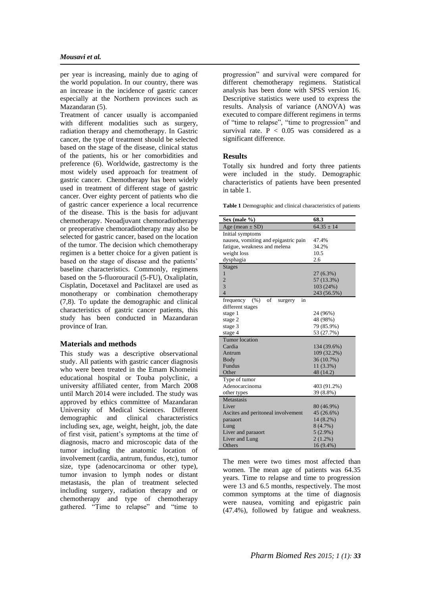per year is increasing, mainly due to aging of the world population. In our country, there was an increase in the incidence of gastric cancer especially at the Northern provinces such as Mazandaran (5).

Treatment of cancer usually is accompanied with different modalities such as surgery, radiation therapy and chemotherapy. In Gastric cancer, the type of treatment should be selected based on the stage of the disease, clinical status of the patients, his or her comorbidities and preference (6). Worldwide, gastrectomy is the most widely used approach for treatment of gastric cancer. Chemotherapy has been widely used in treatment of different stage of gastric cancer. Over eighty percent of patients who die of gastric cancer experience a local recurrence of the disease. This is the basis for adjuvant chemotherapy. Neoadjuvant chemoradiotherapy or preoperative chemoradiotherapy may also be selected for gastric cancer, based on the location of the tumor. The decision which chemotherapy regimen is a better choice for a given patient is based on the stage of disease and the patients' baseline characteristics. Commonly, regimens based on the 5-fluorouracil (5-FU), Oxaliplatin, Cisplatin, Docetaxel and Paclitaxel are used as monotherapy or combination chemotherapy (7,8). To update the demographic and clinical characteristics of gastric cancer patients, this study has been conducted in Mazandaran province of Iran.

#### **Materials and methods**

This study was a descriptive observational study. All patients with gastric cancer diagnosis who were been treated in the Emam Khomeini educational hospital or Touba polyclinic, a university affiliated center, from March 2008 until March 2014 were included. The study was approved by ethics committee of Mazandaran University of Medical Sciences. Different demographic and clinical characteristics including sex, age, weight, height, job, the date of first visit, patient's symptoms at the time of diagnosis, macro and microscopic data of the tumor including the anatomic location of involvement (cardia, antrum, fundus, etc), tumor size, type (adenocarcinoma or other type), tumor invasion to lymph nodes or distant metastasis, the plan of treatment selected including surgery, radiation therapy and or chemotherapy and type of chemotherapy gathered. "Time to relapse" and "time to

progression" and survival were compared for different chemotherapy regimens. Statistical analysis has been done with SPSS version 16. Descriptive statistics were used to express the results. Analysis of variance (ANOVA) was executed to compare different regimens in terms of "time to relapse", "time to progression" and survival rate.  $P < 0.05$  was considered as a significant difference.

#### **Results**

Totally six hundred and forty three patients were included in the study. Demographic characteristics of patients have been presented in table 1.

**Table 1** Demographic and clinical characteristics of patients

| Sex (male $\%$ )                            | 68.3           |  |  |  |
|---------------------------------------------|----------------|--|--|--|
| Age (mean $\pm$ SD)                         | $64.35 \pm 14$ |  |  |  |
| Initial symptoms                            |                |  |  |  |
| nausea, vomiting and epigastric pain        | 47.4%          |  |  |  |
| fatigue, weakness and melena                | 34.2%          |  |  |  |
| weight loss                                 | 10.5           |  |  |  |
| dysphagia                                   | 2.6            |  |  |  |
| <b>Stages</b>                               |                |  |  |  |
| 1                                           | 27 (6.3%)      |  |  |  |
| $\overline{2}$                              | 57 (13.3%)     |  |  |  |
| $\overline{3}$                              | 103 (24%)      |  |  |  |
| $\overline{4}$                              | 243 (56.5%)    |  |  |  |
| of<br>$(\% )$<br>in<br>frequency<br>surgery |                |  |  |  |
| different stages                            |                |  |  |  |
| stage 1                                     | 24 (96%)       |  |  |  |
| stage 2                                     | 48 (98%)       |  |  |  |
| stage 3                                     | 79 (85.9%)     |  |  |  |
| stage 4                                     | 53 (27.7%)     |  |  |  |
| <b>Tumor</b> location                       |                |  |  |  |
| Cardia                                      | 134 (39.6%)    |  |  |  |
| Antrum                                      | 109 (32.2%)    |  |  |  |
| Body                                        | 36 (10.7%)     |  |  |  |
| <b>Fundus</b>                               | 11 (3.3%)      |  |  |  |
| Other                                       | 48 (14.2)      |  |  |  |
| Type of tumor                               |                |  |  |  |
| Adenocarcinoma                              | 403 (91.2%)    |  |  |  |
| other types                                 | 39 (8.8%)      |  |  |  |
| Metastasis                                  |                |  |  |  |
| Liver                                       | 80 (46.9%)     |  |  |  |
| Ascites and peritoneal involvement          | 45 (26.6%)     |  |  |  |
| paraaort                                    | 14 (8.2%)      |  |  |  |
| Lung                                        | 8(4.7%)        |  |  |  |
| Liver and paraaort                          | $5(2.9\%)$     |  |  |  |
| Liver and Lung                              | $2(1.2\%)$     |  |  |  |
| Others                                      | 16 (9.4%)      |  |  |  |

The men were two times most affected than women. The mean age of patients was 64.35 years. Time to relapse and time to progression were 13 and 6.5 months, respectively. The most common symptoms at the time of diagnosis were nausea, vomiting and epigastric pain (47.4%), followed by fatigue and weakness.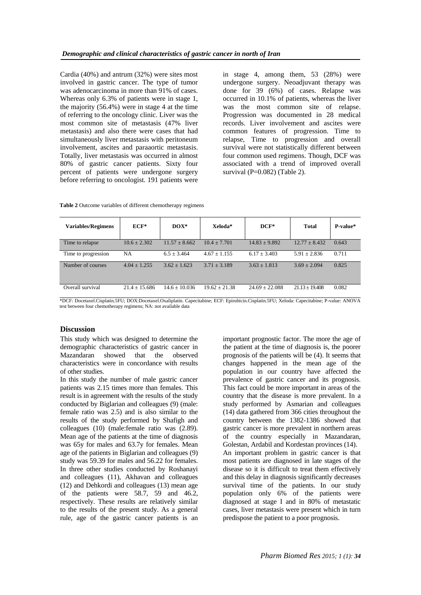Cardia (40%) and antrum (32%) were sites most involved in gastric cancer. The type of tumor was adenocarcinoma in more than 91% of cases. Whereas only 6.3% of patients were in stage 1, the majority (56.4%) were in stage 4 at the time of referring to the oncology clinic. Liver was the most common site of metastasis (47% liver metastasis) and also there were cases that had simultaneously liver metastasis with peritoneum involvement, ascites and paraaortic metastasis. Totally, liver metastasis was occurred in almost 80% of gastric cancer patients. Sixty four percent of patients were undergone surgery before referring to oncologist. 191 patients were in stage 4, among them, 53 (28%) were undergone surgery. Neoadjuvant therapy was done for 39 (6%) of cases. Relapse was occurred in 10.1% of patients, whereas the liver was the most common site of relapse. Progression was documented in 28 medical records. Liver involvement and ascites were common features of progression. Time to relapse, Time to progression and overall survival were not statistically different between four common used regimens. Though, DCF was associated with a trend of improved overall survival ( $P=0.082$ ) (Table 2).

**Table 2** Outcome variables of different chemotherapy regimens

| <b>Variables/Regimens</b> | $ECF^*$          | $\bf{DOX}^*$      | Xeloda*          | $DCF^*$           | <b>Total</b>      | P-value* |
|---------------------------|------------------|-------------------|------------------|-------------------|-------------------|----------|
| Time to relapse           | $10.6 \pm 2.302$ | $11.57 \pm 8.662$ | $10.4 \pm 7.701$ | $14.83 \pm 9.892$ | $12.77 \pm 8.432$ | 0.643    |
| Time to progression       | <b>NA</b>        | $6.5 \pm 3.464$   | $4.67 + 1.155$   | $6.17 \pm 3.403$  | $5.91 \pm 2.836$  | 0.711    |
| Number of courses         | $4.04 + 1.255$   | $3.62 + 1.623$    | $3.71 + 3.189$   | $3.63 + 1.813$    | $3.69 + 2.094$    | 0.825    |
| Overall survival          | $21.4 + 15.686$  | $14.6 + 10.036$   | $19.62 + 21.38$  | $24.69 + 22.088$  | $21.13 + 19.408$  | 0.082    |

\*DCF: Docetaxel.Cisplatin.5FU; DOX:Docetaxel.Oxaliplatin. Capecitabine; ECF: Epirubicin.Cisplatin.5FU; Xeloda: Capecitabine; P-value: ANOVA test between four chemotherapy regimens; NA: not available data

# **Discussion**

This study which was designed to determine the demographic characteristics of gastric cancer in Mazandaran showed that the observed characteristics were in concordance with results of other studies.

In this study the number of male gastric cancer patients was 2.15 times more than females. This result is in agreement with the results of the study conducted by Biglarian and colleagues (9) (male: female ratio was 2.5) and is also similar to the results of the study performed by Shafigh and colleagues (10) (male:female ratio was (2.89). Mean age of the patients at the time of diagnosis was 65y for males and 63.7y for females. Mean age of the patients in Biglarian and colleagues (9) study was 59.39 for males and 56.22 for females. In three other studies conducted by Roshanayi and colleagues (11), Akhavan and colleagues (12) and Dehkordi and colleagues (13) mean age of the patients were 58.7, 59 and 46.2, respectively. These results are relatively similar to the results of the present study. As a general rule, age of the gastric cancer patients is an

important prognostic factor. The more the age of the patient at the time of diagnosis is, the poorer prognosis of the patients will be (4). It seems that changes happened in the mean age of the population in our country have affected the prevalence of gastric cancer and its prognosis. This fact could be more important in areas of the country that the disease is more prevalent. In a study performed by Asmarian and colleagues (14) data gathered from 366 cities throughout the country between the 1382-1386 showed that gastric cancer is more prevalent in northern areas of the country especially in Mazandaran, Golestan, Ardabil and Kordestan provinces (14). An important problem in gastric cancer is that most patients are diagnosed in late stages of the disease so it is difficult to treat them effectively and this delay in diagnosis significantly decreases survival time of the patients. In our study population only 6% of the patients were diagnosed at stage I and in 80% of metastatic cases, liver metastasis were present which in turn predispose the patient to a poor prognosis.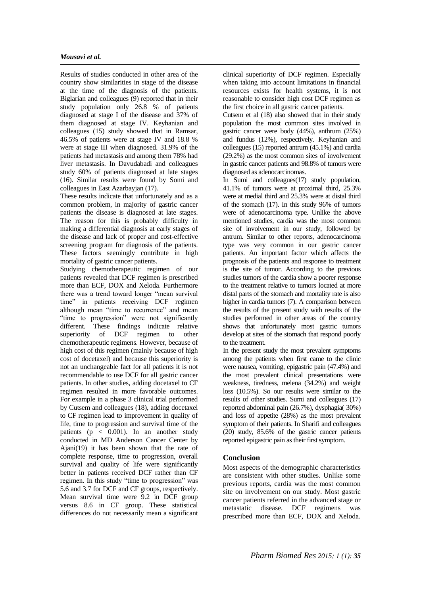#### *Mousavi et al.*

Results of studies conducted in other area of the country show similarities in stage of the disease at the time of the diagnosis of the patients. Biglarian and colleagues (9) reported that in their study population only 26.8 % of patients diagnosed at stage I of the disease and 37% of them diagnosed at stage IV. Keyhanian and colleagues (15) study showed that in Ramsar, 46.5% of patients were at stage IV and 18.8 % were at stage III when diagnosed. 31.9% of the patients had metastasis and among them 78% had liver metastasis. In Davudabadi and colleagues study 60% of patients diagnosed at late stages (16). Similar results were found by Somi and colleagues in East Azarbayjan (17).

These results indicate that unfortunately and as a common problem, in majority of gastric cancer patients the disease is diagnosed at late stages. The reason for this is probably difficulty in making a differential diagnosis at early stages of the disease and lack of proper and cost-effective screening program for diagnosis of the patients. These factors seemingly contribute in high mortality of gastric cancer patients.

Studying chemotherapeutic regimen of our patients revealed that DCF regimen is prescribed more than ECF, DOX and Xeloda. Furthermore there was a trend toward longer "mean survival time" in patients receiving DCF regimen although mean "time to recurrence" and mean "time to progression" were not significantly different. These findings indicate relative superiority of DCF regimen to other chemotherapeutic regimens. However, because of high cost of this regimen (mainly because of high cost of docetaxel) and because this superiority is not an unchangeable fact for all patients it is not recommendable to use DCF for all gastric cancer patients. In other studies, adding docetaxel to CF regimen resulted in more favorable outcomes. For example in a phase 3 clinical trial performed by Cutsem and colleagues (18), adding docetaxel to CF regimen lead to improvement in quality of life, time to progression and survival time of the patients ( $p \lt 0.001$ ). In an another study conducted in MD Anderson Cancer Center by Ajani(19) it has been shown that the rate of complete response, time to progression, overall survival and quality of life were significantly better in patients received DCF rather than CF regimen. In this study "time to progression" was 5.6 and 3.7 for DCF and CF groups, respectively. Mean survival time were 9.2 in DCF group versus 8.6 in CF group. These statistical differences do not necessarily mean a significant clinical superiority of DCF regimen. Especially when taking into account limitations in financial resources exists for health systems, it is not reasonable to consider high cost DCF regimen as the first choice in all gastric cancer patients.

Cutsem et al (18) also showed that in their study population the most common sites involved in gastric cancer were body (44%), anthrum (25%) and fundus (12%), respectively. Keyhanian and colleagues (15) reported antrum (45.1%) and cardia (29.2%) as the most common sites of involvement in gastric cancer patients and 98.8% of tumors were diagnosed as adenocarcinomas.

In Sumi and colleagues(17) study population, 41.1% of tumors were at proximal third, 25.3% were at medial third and 25.3% were at distal third of the stomach (17). In this study 96% of tumors were of adenocarcinoma type. Unlike the above mentioned studies, cardia was the most common site of involvement in our study, followed by antrum. Similar to other reports, adenocarcinoma type was very common in our gastric cancer patients. An important factor which affects the prognosis of the patients and response to treatment is the site of tumor. According to the previous studies tumors of the cardia show a poorer response to the treatment relative to tumors located at more distal parts of the stomach and mortality rate is also higher in cardia tumors (7). A comparison between the results of the present study with results of the studies performed in other areas of the country shows that unfortunately most gastric tumors develop at sites of the stomach that respond poorly to the treatment.

In the present study the most prevalent symptoms among the patients when first came to the clinic were nausea, vomiting, epigastric pain (47.4%) and the most prevalent clinical presentations were weakness, tiredness, melena (34.2%) and weight loss (10.5%). So our results were similar to the results of other studies. Sumi and colleagues (17) reported abdominal pain (26.7%), dysphagia( 30%) and loss of appetite (28%) as the most prevalent symptom of their patients. In Sharifi and colleagues (20) study, 85.6% of the gastric cancer patients reported epigastric pain as their first symptom.

# **Conclusion**

Most aspects of the demographic characteristics are consistent with other studies. Unlike some previous reports, cardia was the most common site on involvement on our study. Most gastric cancer patients referred in the advanced stage or metastatic disease. DCF regimens was prescribed more than ECF, DOX and Xeloda.